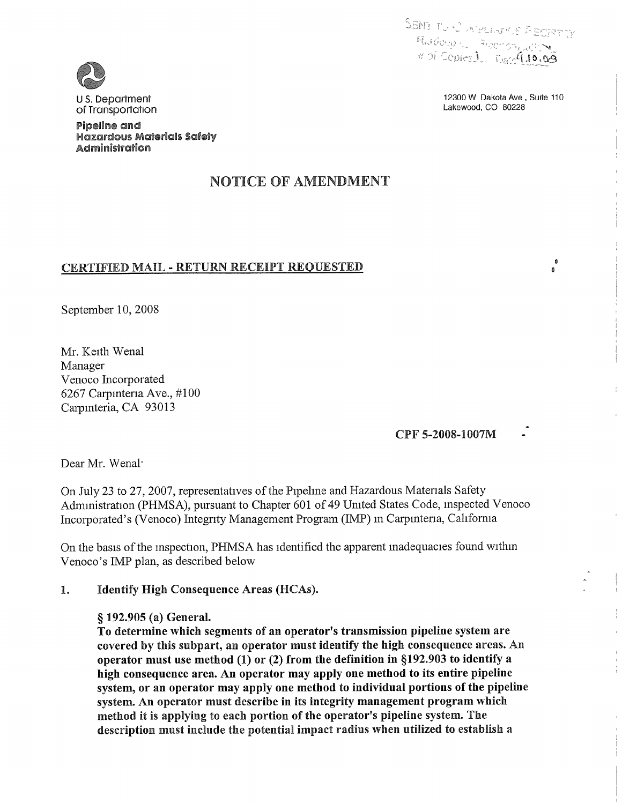Lakewood, CO 80228

12300 W Dakota Ave, Suite 110

 $\pmb{\hat{a}}$ 

Ä



US. Department of Transportation

Pipelline and Hazardous Materialls Safety Administration

# NOTICE OF AMENDMENT

# CERTIFIED MAIL - RETURN RECEIPT REQUESTED

September 10, 2008

Mr. Keith Wenal Manager Venoco Incorporated 6267 Carpinteria Ave.,  $\#100$ Carpinteria, CA 93013

# CPF 5-2008-1007M

Dear Mr. Wenal'

On July 23 to 27, 2007, representatives of the Pipehne and Hazardous Materials Safety Administration (PHMSA), pursuant to Chapter 601 of 49 United States Code, mspected Venoco Incorporated's (Venoco) Integrity Management Program (IMP) in Carpinteria, Cahfornia

On the basis of the inspection, PHMSA has identified the apparent inadequacies found within Venoco's IMP plan, as described below

#### 1. **Identify High Consequence Areas (HCAs).**

### § 192.905 (a) General.

To determine which segments of an operator's transmission pipehne system are covered by this subpart, an operator must identify the high consequence areas. An operator must use method  $(1)$  or  $(2)$  from the definition in §192.903 to identify a high consequence area. An operator may apply one method to its entire pipeline system, or an operator may apply one method to individual portions of the pipeline system. An operator must describe in its integrity management program which method it is applying to each portion of the operator's pipeline system. The description must include the potential impact radius when utihzed to establish a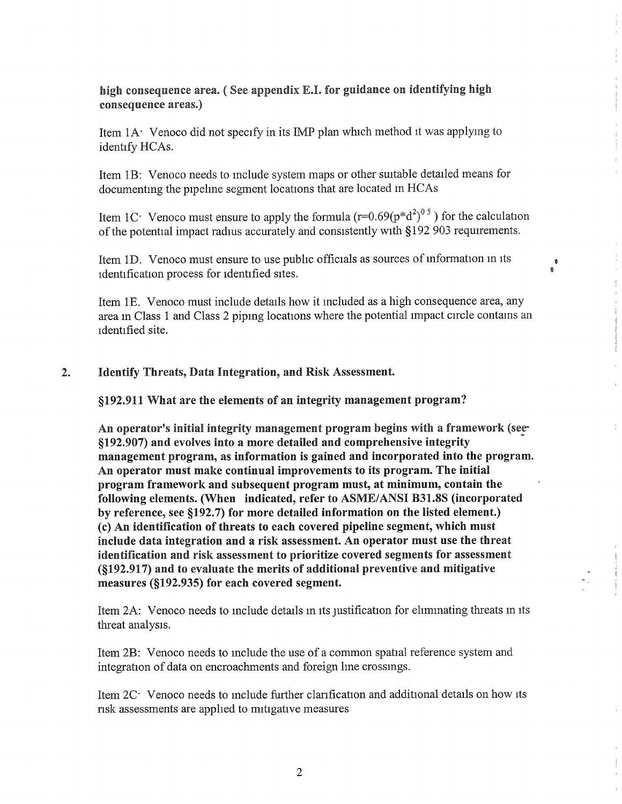high consequence area. (See appendix E.I. for guidance on identifying high consequence areas.)

Item  $1A$  Venoco did not specify in its IMP plan which method it was applying to identify HCAs.

Item 18: Venoco needs to include system maps or other suitable detailed means for documenting the pipehne segment locations that are located in HCAs

Item 1C<sup>.</sup> Venoco must ensure to apply the formula  $(r=0.69(p*d^2)^{0.5})$  for the calculation of the potential impact radius accurately and consistently with \$192 903 requirements.

 $\begin{smallmatrix} &0\0\end{smallmatrix}$ 

Item 10. Venoco must ensure to use pubhc officials as sources of information in its identification process for identified sites.

Item 1E. Venoco must include details how it included as a high consequence area, any area in Class 1 and Class 2 piping locations where the potential impact circle contains an identified site.

#### **Identify Threats, Data Integration, and Risk Assessment.**  $\overline{2}$ .

\$192.911 What are the elements of an integrity management program?

An operator's initial integrity management program begins with a framework (see. \$192. 907) and evollves into a more detailed and comprehensive integrity management program, as information is gained and incorporated into the program. An operator must make continual improvements to its program. The initial program framework and subsequent program must, at minimum, contain the following elements. (When indicated, refer to ASME/ANSI B31.8S (incorporated by reference, see §192.7) for more detailed information on the listed element.) (c) An identification of threats to each covered pipehne segment, which must include data integration and a risk assessment. An operator must use the threat identification and risk assessment to prioritize covered segments for assessment  $(S192.917)$  and to evaluate the merits of additional preventive and mitigative measures (§192.935) for each covered segment.

Item 2A: Venoco needs to mclude details in its justification for ehminating threats m its threat analysis.

Item 28: Venoco needs to include the use of a common spatial reference system and integration of data on encroachments and foreign hne crossings.

Item 2C. Venoco needs to include further clarification and additional details on how its risk assessments are apphed to mitigative measures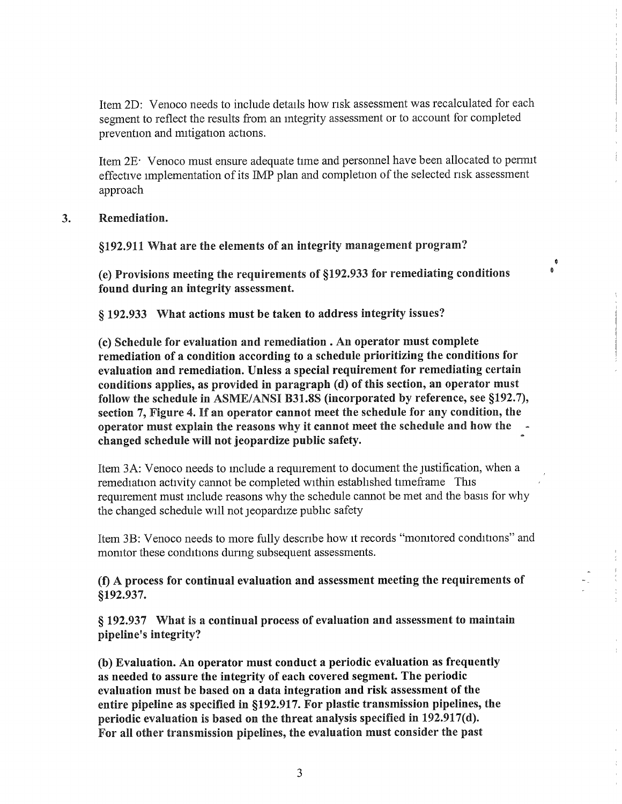Item 2D: Venoco needs to include details how risk assessment was recalculated for each segment to reflect the results from an mtegrity assessment or to account for completed prevention and mitigation actions.

Item 2E Venoco must ensure adequate time and personnel have been allocated to permit effective implementation of its IMP plan and completion of the selected risk assessment approach

Remediation. 3.

§192.911 What are the elements of an integrity management program?

(e) Provisions meeting the requirements of §192.933 for remediating conditions found during an integrity assessment.

 $\ddot{\bullet}$  $\ddot{\bullet}$ 

§ 192.933 What actions must be taken to address integrity issues?

(c) Schedule for evaluation and remediation . An oper ator must complete remediation of a condition according to a schedule prioritizing the conditions for evaluation and remediation. Unless a special requirement for remediating certain conditions applies, as provided in paragraph (d) of this section, an operator must follow the schedule in ASME/ANSI B31.8S (incorporated by reference, see  $\S192.7$ ), section 7, Figure 4. If an operator cannot meet the schedule for any condition, the operator must explain the reasons why it cannot meet the schedule and how the changed schedule will not jeopardize public safety.

Item 3A: Venoco needs to include a requirement to document the justification, when a remediation activity cannot be completed within estabhshed timeframe This requirement must include reasons why the schedule cannot be met and the basis for why the changed schedule will not jeopardize pubhc safety

Item 38: Venoco needs to more fully describe how it records "monitored conditions" and monitor these conditions during subsequent assessments.

(f) A process for continual evaluation and assessment meeting the requirements of \$192. 937.

§ 192.937 What is a continual process of evaluation and assessment to maintain pipeline's integrity?

(b) Evaluation. An operator must conduct a periodic evaluation as frequently as needed to assure the integrity of each covered segment. The periodic evaluation must be based on a data integration and risk assessment of the entire pipeline as specified in §192.917. For plastic transmission pipelines, the periodic evaluation is based on the threat analysis specified in  $192.917(d)$ . For all other transmission pipelines, the evaluation must consider the past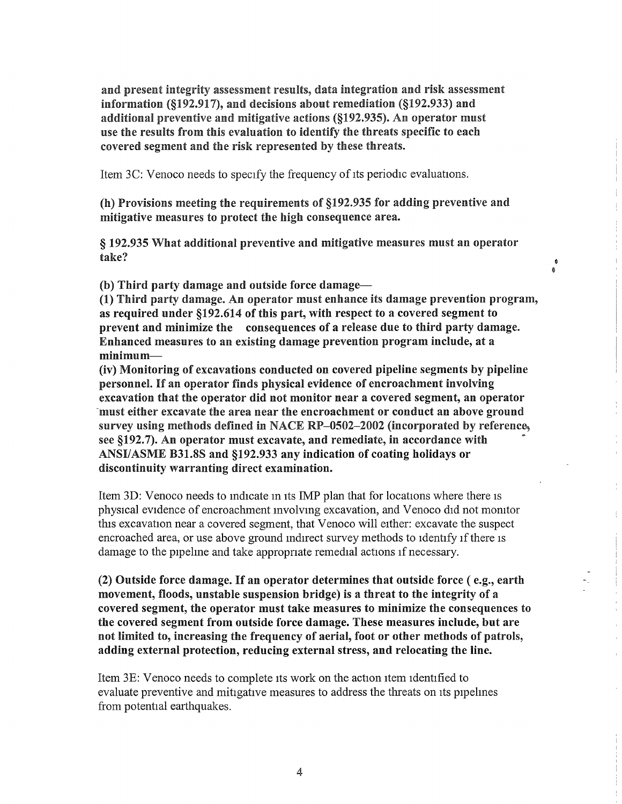and present integrity assessment results, data integration and risk assessment information (§192.917), and decisions about remediation (§192.933) and additional preventive and mitigative actions (§192.935). An operator must use the results from this evaluation to identify the threats specific to each covered segment and the risk represented by these threats.

Item 3C: Venoco needs to specify the frequency of its periodic evaluations.

(h) Provisions meeting the requirements of §192.935 for adding preventive and mitigative measures to protect the high consequence area.

§ 192.935 What additional preventive and mitigative measures must an operator take?

 $\bullet$ à

(b) Third party damage and outside force damage-

(1) Third party damage. An operator must enhance its damage prevention program, as required under §192.614 of this part, with respect to a covered segment to prevent and minimize the consequences of a release due to third party damage. Enhanced measures to an existing damage prevention program include, at a  $minimum$ 

(iv) Monitoring of excavations conducted on covered pipeline segments by pipeline personnel. 1f an operator finds physical evidence of encroachment involving excavation that the operator did not monitor near a covered segment, an operator must either excavate the area near the encroachment or conduct an above ground survey using methods defined in NACE RP $-0502-2002$  (incorporated by reference, see §192.7). An operator must excavate, and remediate, in accordance with ANSI/ASME B31.8S and §192.933 any indication of coating holidays or discontinuity warranting direct examination.

Item 3D: Venoco needs to indicate in its IMP plan that for locations where there is physical evidence of encroachment involving excavation, and Venoco did not monitor this excavation near a covered segment, that Venoco will either: excavate the suspect encroached area, or use above ground indirect survey methods to identify if there is damage to the pipeline and take appropriate remedial actions if necessary.

 $(2)$  Outside force damage. If an operator determines that outside force  $( e.g., e$ movement, floods, unstable suspension bridge) is a threat to the integrity of a covered segment, the operator must take measures to minimize the consequences to the covered segment from outside force damage. These measures include, but are not limited to, increasing the frequency of aerial, foot or other methods of patrols, adding external protection, reducing external stress, and relocating the line.

Item 3E: Venoco needs to complete its work on the action item identified to evaluate preventive and mitigative measures to address the threats on its pipehnes from potential earthquakes.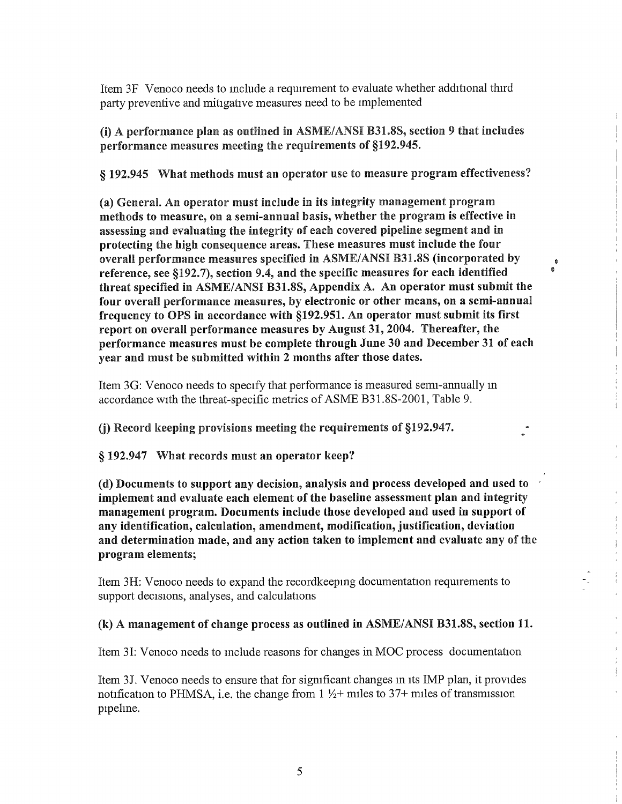Item 3F Venoco needs to include a requirement to evaluate whether additional third party preventive and mitigative measures need to be implemented

(i) A performance plan as outlined in ASME/ANSI B31.8S, section 9 that includes performance measures meeting the requirements of §192.945.

§ 192.945 What methods must an operator use to measure program effectiveness?

(a) General. An operator must include in its integrity management program methods to measure, on a semi-annual basis, whether the program is effective in assessing and evaluating the integrity of each covered pipehne segment and in protecting the high consequence areas. These measures must include the four overall performance measures specified in ASME/ANSI B31.8S (incorporated by reference, see §192.7), section 9.4, and the specific measures for each identified threat specified in ASME/ANSI B31.8S, Appendix A. An operator must submit the four overall performance measures, by electronic or other means, on a semi-annual frequency to OPS in accordance with \$192. 951. An operator must submit its first report on overall performance measures by August 31, 2004. Thereafter, the performance measures must be complete through June 30 and Becember 31 of each year and must be submitted within 2 months after those dates.

 $\pmb{\Phi}$  $\ddot{\mathbf{a}}$ 

 $\frac{1}{2}$ 

Item 36: Venoco needs to specify that performance is measured semi-annually in accordance with the threat-specific metrics of ASME B31. 8S-2001, Table 9.

(j) Record keeping provisions meeting the requirements of §192.947.

§ 192.947 What records must an operator keep?

(d) Bocuments to support any decision, analysis and process developed and used to implement and evaluate each element of the baseline assessment plan and integrity management program. Bocuments include those developed and used in support of any identification, calculation, amendment, modification, justification, deviation and determination made, and any action taken to implement and evaluate any of the program elements;

Item 3H: Venoco needs to expand the recordkeeping documentation requirements to support decisions, analyses, and calculations

### (k) A. management of change process as outlined in ASME/ANSI B31.8S, section 11.

Item 3I: Venoco needs to include reasons for changes in MOC process documentation

Item 3J. Venoco needs to ensure that for significant changes in its IMP plan, it provides notification to PHMSA, i.e. the change from  $1\frac{1}{2}$  miles to 37+ miles of transmission pipeline.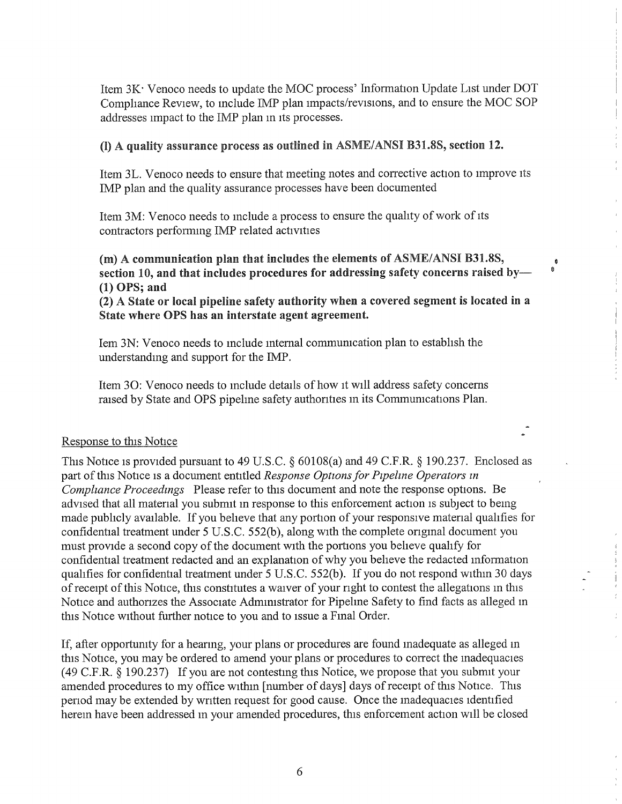Item  $3K<sup>+</sup>$  Venoco needs to update the MOC process' Information Update List under DOT Comphance Review, to include IMP plan impacts/revisions, and to ensure the MOC SOP addresses impact to the IMP plan in its processes.

### (I) A quality assurance process as outlined in ASME/ANSI B31.8S, section 12.

Item 3L. Venoco needs to ensure that meeting notes and corrective action to improve its IMP plan and the quality assurance processes have been documented

Item 3M: Venoco needs to mclude a process to ensure the quahty of work of its contractors performing IMP related activities

(m) A communication plan that includes the elements of ASME/ANSI B31.8S, section 10, and that includes procedures for addressing safety concerns raised by- $(1)$  OPS; and

Ø.  $\hat{\mathbf{0}}$ 

(2) A State or local pipeline safety authority when a covered segment is located in a State where OPS has an interstate agent agreement.

Iem 3N: Venoco needs to mclude mternal communication plan to establish the understanding and support for the IMP.

Item 30: Venoco needs to include details of how it will address safety concerns raised by State and OPS pipehne safety authorities in its Communications Plan.

### Response to this Notice

This Notice is provided pursuant to 49 U.S.C.  $\S$  60108(a) and 49 C.F.R.  $\S$  190.237. Enclosed as part of this Notice is a document entitled Response Options for Pipeline Operators in Compliance Proceedings Please refer to this document and note the response options. Be advised that all material you submit in response to this enforcement action is subject to being made pubhcly available. If you beheve that any portion of your responsive material quahfies for confidential treatment under 5 U.S.C. 552(b), along with the complete original document you must provide a second copy of the document with the potions you beheve quahfy for confidential treatment redacted and an explanation of why you beheve the redacted information qualifies for confidential treatment under 5 U.S.C. 552(b). If you do not respond within 30 days of receipt of this Notice, this constitutes a waiver of your right to contest the allegations m this Notice and authorizes the Associate Administrator for Pipehne Safety to find facts as alleged in this Notice without further notice to you and to issue a Final Order.

If, after opportunity for a hearing, your plans or procedures are found inadequate as alleged in this Notice, you may be ordered to amend your plans or procedures to correct the inadequacies  $(49 \text{ C.F.R. } § 190.237)$  If you are not contesting this Notice, we propose that you submit your amended procedures to my office within [number of days] days of receipt of this Notice. This period may be extended by written request for good cause. Once the inadequacies identified herein have been addressed in your amended procedures, this enforcement action will be closed